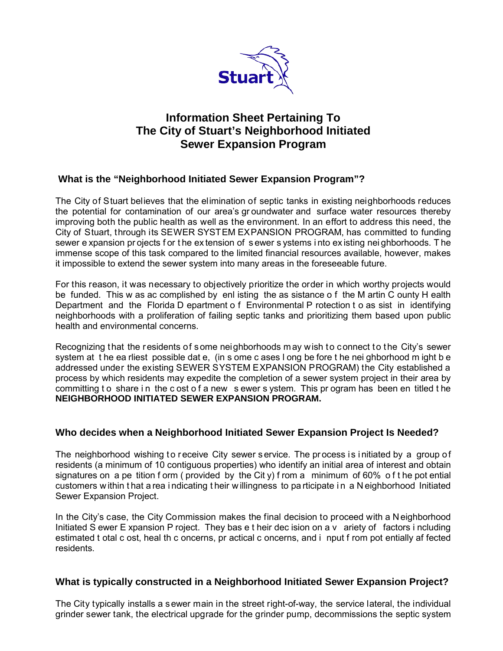

# **Information Sheet Pertaining To The City of Stuart's Neighborhood Initiated Sewer Expansion Program**

# **What is the "Neighborhood Initiated Sewer Expansion Program"?**

The City of Stuart believes that the elimination of septic tanks in existing neighborhoods reduces the potential for contamination of our area's gr oundwater and surface water resources thereby improving both the public health as well as the environment. In an effort to address this need, the City of Stuart, through its SEWER SYSTEM EXPANSION PROGRAM, has committed to funding sewer e xpansion pr ojects f or t he ex tension of s ewer s ystems i nto ex isting nei ghborhoods. T he immense scope of this task compared to the limited financial resources available, however, makes it impossible to extend the sewer system into many areas in the foreseeable future.

For this reason, it was necessary to objectively prioritize the order in which worthy projects would be funded. This w as ac complished by enl isting the as sistance o f the M artin C ounty H ealth Department and the Florida D epartment o f Environmental P rotection t o as sist in identifying neighborhoods with a proliferation of failing septic tanks and prioritizing them based upon public health and environmental concerns.

Recognizing that the residents of some neighborhoods may wish to connect to the City's sewer system at t he ea rliest possible dat e, (in s ome c ases l ong be fore t he nei ghborhood m ight b e addressed under the existing SEWER SYSTEM EXPANSION PROGRAM) the City established a process by which residents may expedite the completion of a sewer system project in their area by committing to share in the c ost of a new sewer system. This program has been en titled the **NEIGHBORHOOD INITIATED SEWER EXPANSION PROGRAM.** 

## **Who decides when a Neighborhood Initiated Sewer Expansion Project Is Needed?**

The neighborhood wishing to receive City sewer service. The process is initiated by a group of residents (a minimum of 10 contiguous properties) who identify an initial area of interest and obtain signatures on a pe tition f orm ( provided by the Cit y) f rom a minimum of 60% of t he pot ential customers w ithin t hat a rea i ndicating t heir w illingness to pa rticipate i n a N eighborhood Initiated Sewer Expansion Project.

In the City's case, the City Commission makes the final decision to proceed with a N eighborhood Initiated S ewer E xpansion P roject. They bas e t heir dec ision on a v ariety of factors i ncluding estimated t otal c ost, heal th c oncerns, pr actical c oncerns, and i nput f rom pot entially af fected residents.

## **What is typically constructed in a Neighborhood Initiated Sewer Expansion Project?**

The City typically installs a sewer main in the street right-of-way, the service lateral, the individual grinder sewer tank, the electrical upgrade for the grinder pump, decommissions the septic system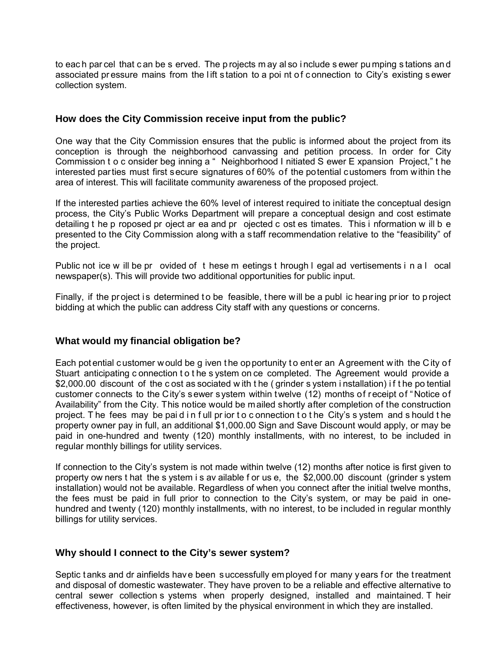to eac h par cel that c an be s erved. The p rojects m ay al so i nclude s ewer pu mping s tations an d associated pressure mains from the lift station to a poi nt of connection to City's existing sewer collection system.

## **How does the City Commission receive input from the public?**

One way that the City Commission ensures that the public is informed about the project from its conception is through the neighborhood canvassing and petition process. In order for City Commission t o c onsider beg inning a " Neighborhood I nitiated S ewer E xpansion Project," t he interested parties must first secure signatures of 60% of the potential customers from within the area of interest. This will facilitate community awareness of the proposed project.

If the interested parties achieve the 60% level of interest required to initiate the conceptual design process, the City's Public Works Department will prepare a conceptual design and cost estimate detailing t he p roposed pr oject ar ea and pr ojected c ost es timates. This i nformation w ill b e presented to the City Commission along with a staff recommendation relative to the "feasibility" of the project.

Public not ice w ill be pr ovided of t hese m eetings t hrough l egal ad vertisements i n a l ocal newspaper(s). This will provide two additional opportunities for public input.

Finally, if the project is determined to be feasible, there will be a publ ic hearing prior to project bidding at which the public can address City staff with any questions or concerns.

#### **What would my financial obligation be?**

Each pot ential c ustomer would be g iven t he opportunity t o ent er an Agreement with the City of Stuart anticipating c onnection t o t he s ystem on ce completed. The Agreement would provide a \$2,000.00 discount of the c ost as sociated w ith t he ( grinder s ystem i nstallation) i f t he po tential customer connects to the City's sewer system within twelve (12) months of receipt of "Notice of Availability" from the City. This notice would be mailed shortly after completion of the construction project. T he fees may be pai d i n f ull pr ior t o c onnection t o t he City's s ystem and s hould t he property owner pay in full, an additional \$1,000.00 Sign and Save Discount would apply, or may be paid in one-hundred and twenty (120) monthly installments, with no interest, to be included in regular monthly billings for utility services.

If connection to the City's system is not made within twelve (12) months after notice is first given to property ow ners t hat the s ystem i s av ailable f or us e, the \$2,000.00 discount (grinder s ystem installation) would not be available. Regardless of when you connect after the initial twelve months, the fees must be paid in full prior to connection to the City's system, or may be paid in onehundred and twenty (120) monthly installments, with no interest, to be included in regular monthly billings for utility services.

#### **Why should I connect to the City's sewer system?**

Septic t anks and dr ainfields have been successfully employed for many years for the treatment and disposal of domestic wastewater. They have proven to be a reliable and effective alternative to central sewer collection s ystems when properly designed, installed and maintained. T heir effectiveness, however, is often limited by the physical environment in which they are installed.